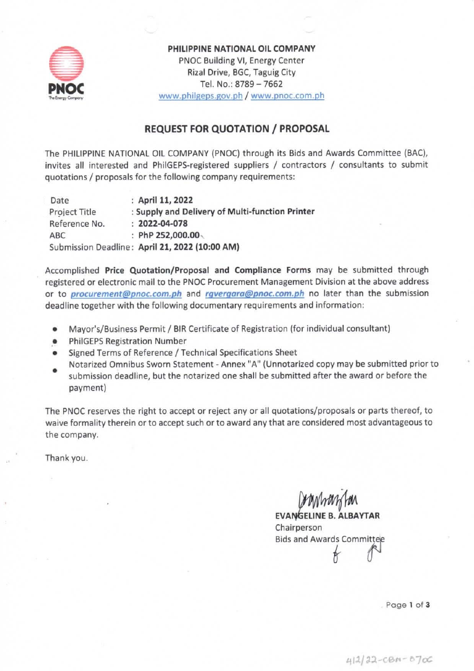

PHILIPPINE NATIONAL OIL COMPANY PNOC Building VI, Energy Center Rizal Drive, BGC, Taguig City Tel. No.: 8789 - 7662 www.philgeps.gov.ph / www.pnoc.com.ph

### **REQUEST FOR QUOTATION / PROPOSAL**

The PHILIPPINE NATIONAL OIL COMPANY (PNOC) through its Bids and Awards Committee (BAC), invites all interested and PhilGEPS-registered suppliers / contractors / consultants to submit quotations / proposals for the following company requirements:

Date : April 11, 2022 : Supply and Delivery of Multi-function Printer **Project Title**  $: 2022 - 04 - 078$ Reference No. : PhP 252,000.00 **ABC** Submission Deadline: April 21, 2022 (10:00 AM)

Accomplished Price Quotation/Proposal and Compliance Forms may be submitted through registered or electronic mail to the PNOC Procurement Management Division at the above address or to *procurement@pnoc.com.ph* and *rgvergara@pnoc.com.ph* no later than the submission deadline together with the following documentary requirements and information:

- Mayor's/Business Permit / BIR Certificate of Registration (for individual consultant)  $\bullet$
- **PhilGEPS Registration Number**
- Signed Terms of Reference / Technical Specifications Sheet
- Notarized Omnibus Sworn Statement Annex "A" (Unnotarized copy may be submitted prior to submission deadline, but the notarized one shall be submitted after the award or before the payment)

The PNOC reserves the right to accept or reject any or all quotations/proposals or parts thereof, to waive formality therein or to accept such or to award any that are considered most advantageous to the company.

Thank you.

**EVANGELINE B. ALBAYTAR** Chairperson **Bids and Awards Committee** 

Page 1 of 3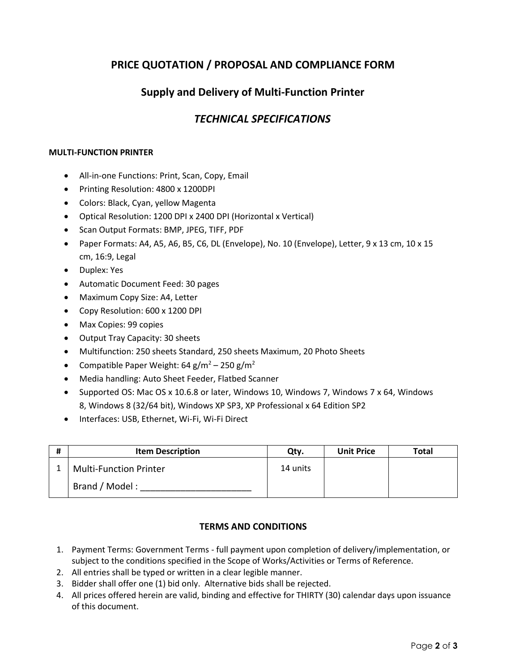# **PRICE QUOTATION / PROPOSAL AND COMPLIANCE FORM**

# **Supply and Delivery of Multi-Function Printer**

## *TECHNICAL SPECIFICATIONS*

#### **MULTI-FUNCTION PRINTER**

- All-in-one Functions: Print, Scan, Copy, Email
- Printing Resolution: 4800 x 1200DPI
- Colors: Black, Cyan, yellow Magenta
- Optical Resolution: 1200 DPI x 2400 DPI (Horizontal x Vertical)
- Scan Output Formats: BMP, JPEG, TIFF, PDF
- Paper Formats: A4, A5, A6, B5, C6, DL (Envelope), No. 10 (Envelope), Letter,  $9 \times 13$  cm,  $10 \times 15$ cm, 16:9, Legal
- Duplex: Yes
- Automatic Document Feed: 30 pages
- Maximum Copy Size: A4, Letter
- Copy Resolution: 600 x 1200 DPI
- Max Copies: 99 copies
- Output Tray Capacity: 30 sheets
- Multifunction: 250 sheets Standard, 250 sheets Maximum, 20 Photo Sheets
- Compatible Paper Weight: 64 g/m<sup>2</sup> 250 g/m<sup>2</sup>
- Media handling: Auto Sheet Feeder, Flatbed Scanner
- Supported OS: Mac OS x 10.6.8 or later, Windows 10, Windows 7, Windows 7 x 64, Windows 8, Windows 8 (32/64 bit), Windows XP SP3, XP Professional x 64 Edition SP2
- Interfaces: USB, Ethernet, Wi-Fi, Wi-Fi Direct

| # | <b>Item Description</b>       | Qty.     | <b>Unit Price</b> | Total |
|---|-------------------------------|----------|-------------------|-------|
|   | <b>Multi-Function Printer</b> | 14 units |                   |       |
|   | Brand / Model:                |          |                   |       |

#### **TERMS AND CONDITIONS**

- 1. Payment Terms: Government Terms full payment upon completion of delivery/implementation, or subject to the conditions specified in the Scope of Works/Activities or Terms of Reference.
- 2. All entries shall be typed or written in a clear legible manner.
- 3. Bidder shall offer one (1) bid only. Alternative bids shall be rejected.
- 4. All prices offered herein are valid, binding and effective for THIRTY (30) calendar days upon issuance of this document.